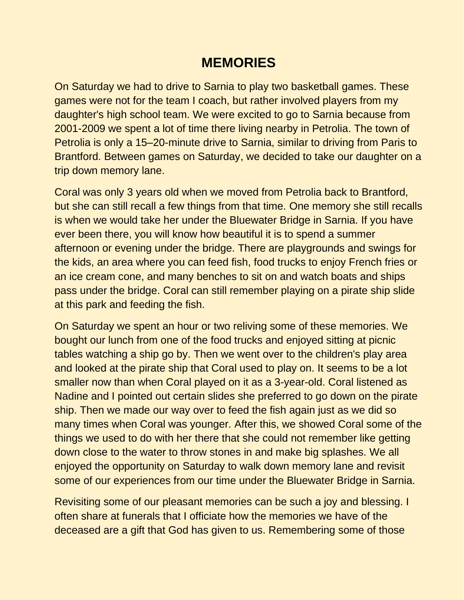## **MEMORIES**

On Saturday we had to drive to Sarnia to play two basketball games. These games were not for the team I coach, but rather involved players from my daughter's high school team. We were excited to go to Sarnia because from 2001-2009 we spent a lot of time there living nearby in Petrolia. The town of Petrolia is only a 15–20-minute drive to Sarnia, similar to driving from Paris to Brantford. Between games on Saturday, we decided to take our daughter on a trip down memory lane.

Coral was only 3 years old when we moved from Petrolia back to Brantford, but she can still recall a few things from that time. One memory she still recalls is when we would take her under the Bluewater Bridge in Sarnia. If you have ever been there, you will know how beautiful it is to spend a summer afternoon or evening under the bridge. There are playgrounds and swings for the kids, an area where you can feed fish, food trucks to enjoy French fries or an ice cream cone, and many benches to sit on and watch boats and ships pass under the bridge. Coral can still remember playing on a pirate ship slide at this park and feeding the fish.

On Saturday we spent an hour or two reliving some of these memories. We bought our lunch from one of the food trucks and enjoyed sitting at picnic tables watching a ship go by. Then we went over to the children's play area and looked at the pirate ship that Coral used to play on. It seems to be a lot smaller now than when Coral played on it as a 3-year-old. Coral listened as Nadine and I pointed out certain slides she preferred to go down on the pirate ship. Then we made our way over to feed the fish again just as we did so many times when Coral was younger. After this, we showed Coral some of the things we used to do with her there that she could not remember like getting down close to the water to throw stones in and make big splashes. We all enjoyed the opportunity on Saturday to walk down memory lane and revisit some of our experiences from our time under the Bluewater Bridge in Sarnia.

Revisiting some of our pleasant memories can be such a joy and blessing. I often share at funerals that I officiate how the memories we have of the deceased are a gift that God has given to us. Remembering some of those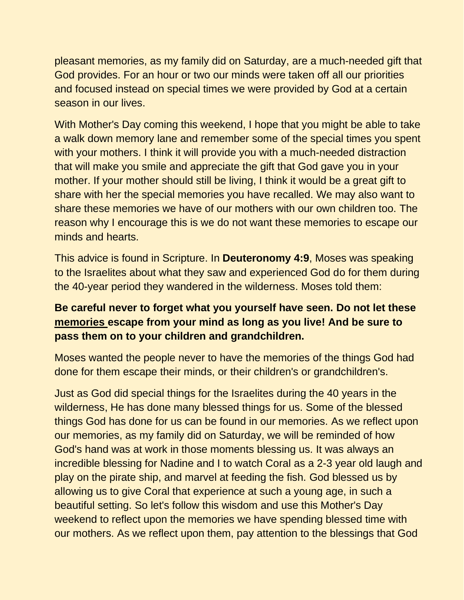pleasant memories, as my family did on Saturday, are a much-needed gift that God provides. For an hour or two our minds were taken off all our priorities and focused instead on special times we were provided by God at a certain season in our lives.

With Mother's Day coming this weekend, I hope that you might be able to take a walk down memory lane and remember some of the special times you spent with your mothers. I think it will provide you with a much-needed distraction that will make you smile and appreciate the gift that God gave you in your mother. If your mother should still be living, I think it would be a great gift to share with her the special memories you have recalled. We may also want to share these memories we have of our mothers with our own children too. The reason why I encourage this is we do not want these memories to escape our minds and hearts.

This advice is found in Scripture. In **Deuteronomy 4:9**, Moses was speaking to the Israelites about what they saw and experienced God do for them during the 40-year period they wandered in the wilderness. Moses told them:

## **Be careful never to forget what you yourself have seen. Do not let these memories escape from your mind as long as you live! And be sure to pass them on to your children and grandchildren.**

Moses wanted the people never to have the memories of the things God had done for them escape their minds, or their children's or grandchildren's.

Just as God did special things for the Israelites during the 40 years in the wilderness, He has done many blessed things for us. Some of the blessed things God has done for us can be found in our memories. As we reflect upon our memories, as my family did on Saturday, we will be reminded of how God's hand was at work in those moments blessing us. It was always an incredible blessing for Nadine and I to watch Coral as a 2-3 year old laugh and play on the pirate ship, and marvel at feeding the fish. God blessed us by allowing us to give Coral that experience at such a young age, in such a beautiful setting. So let's follow this wisdom and use this Mother's Day weekend to reflect upon the memories we have spending blessed time with our mothers. As we reflect upon them, pay attention to the blessings that God